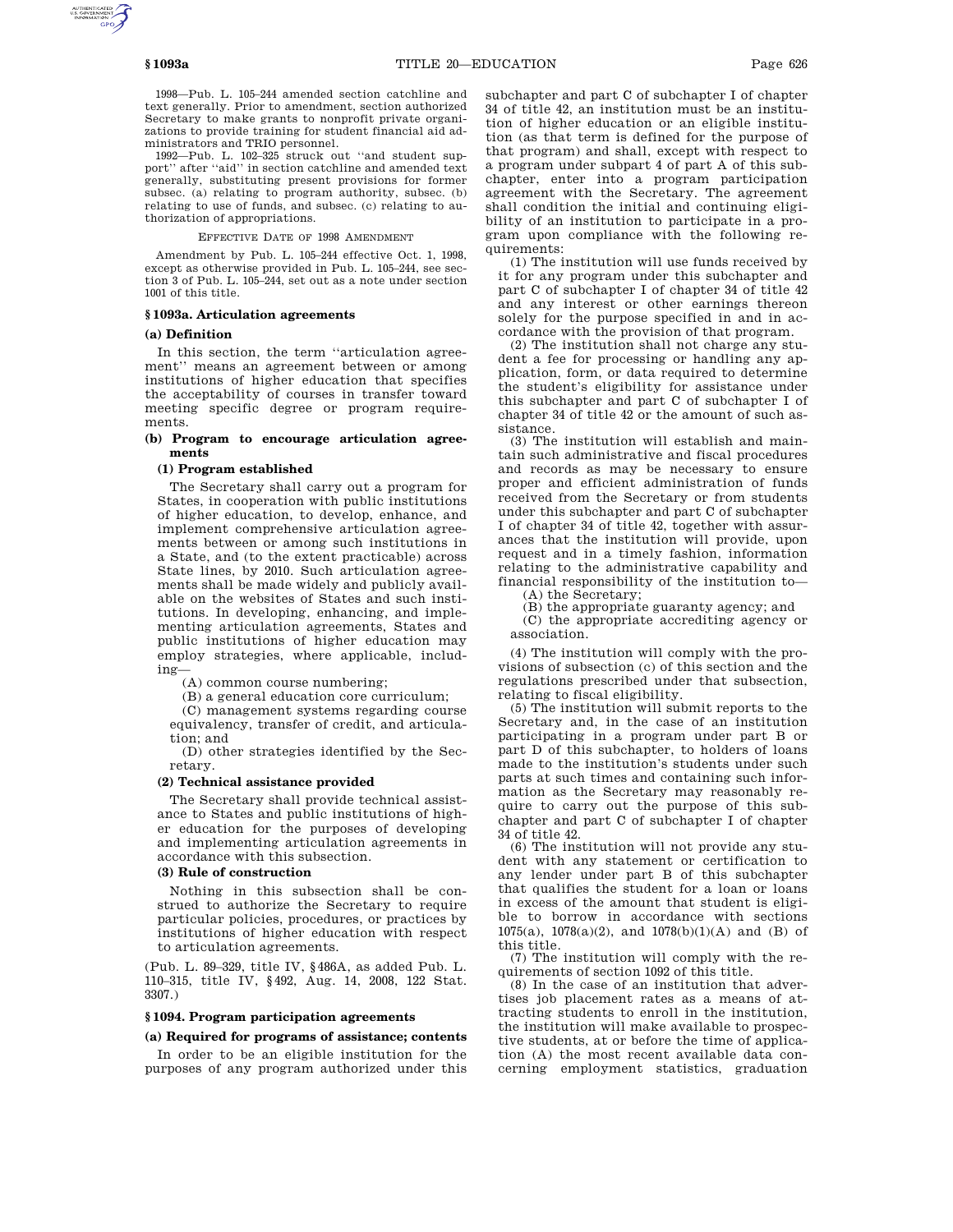1998—Pub. L. 105–244 amended section catchline and text generally. Prior to amendment, section authorized Secretary to make grants to nonprofit private organizations to provide training for student financial aid administrators and TRIO personnel.

1992—Pub. L. 102–325 struck out ''and student support'' after ''aid'' in section catchline and amended text generally, substituting present provisions for former subsec. (a) relating to program authority, subsec. (b) relating to use of funds, and subsec. (c) relating to authorization of appropriations.

EFFECTIVE DATE OF 1998 AMENDMENT

Amendment by Pub. L. 105–244 effective Oct. 1, 1998, except as otherwise provided in Pub. L. 105–244, see section 3 of Pub. L. 105–244, set out as a note under section 1001 of this title.

# **§ 1093a. Articulation agreements**

#### **(a) Definition**

In this section, the term ''articulation agreement'' means an agreement between or among institutions of higher education that specifies the acceptability of courses in transfer toward meeting specific degree or program requirements.

## **(b) Program to encourage articulation agreements**

#### **(1) Program established**

The Secretary shall carry out a program for States, in cooperation with public institutions of higher education, to develop, enhance, and implement comprehensive articulation agreements between or among such institutions in a State, and (to the extent practicable) across State lines, by 2010. Such articulation agreements shall be made widely and publicly available on the websites of States and such institutions. In developing, enhancing, and implementing articulation agreements, States and public institutions of higher education may employ strategies, where applicable, including—

(A) common course numbering;

(B) a general education core curriculum;

(C) management systems regarding course equivalency, transfer of credit, and articulation; and

(D) other strategies identified by the Secretary.

# **(2) Technical assistance provided**

The Secretary shall provide technical assistance to States and public institutions of higher education for the purposes of developing and implementing articulation agreements in accordance with this subsection.

# **(3) Rule of construction**

Nothing in this subsection shall be construed to authorize the Secretary to require particular policies, procedures, or practices by institutions of higher education with respect to articulation agreements.

(Pub. L. 89–329, title IV, §486A, as added Pub. L. 110–315, title IV, §492, Aug. 14, 2008, 122 Stat. 3307.)

# **§ 1094. Program participation agreements**

#### **(a) Required for programs of assistance; contents**

In order to be an eligible institution for the purposes of any program authorized under this subchapter and part C of subchapter I of chapter 34 of title 42, an institution must be an institution of higher education or an eligible institution (as that term is defined for the purpose of that program) and shall, except with respect to a program under subpart 4 of part A of this subchapter, enter into a program participation agreement with the Secretary. The agreement shall condition the initial and continuing eligibility of an institution to participate in a program upon compliance with the following requirements:

(1) The institution will use funds received by it for any program under this subchapter and part C of subchapter I of chapter 34 of title 42 and any interest or other earnings thereon solely for the purpose specified in and in accordance with the provision of that program.

(2) The institution shall not charge any student a fee for processing or handling any application, form, or data required to determine the student's eligibility for assistance under this subchapter and part C of subchapter I of chapter 34 of title 42 or the amount of such assistance.

(3) The institution will establish and maintain such administrative and fiscal procedures and records as may be necessary to ensure proper and efficient administration of funds received from the Secretary or from students under this subchapter and part C of subchapter I of chapter 34 of title 42, together with assurances that the institution will provide, upon request and in a timely fashion, information relating to the administrative capability and financial responsibility of the institution to—

(A) the Secretary;

(B) the appropriate guaranty agency; and (C) the appropriate accrediting agency or association.

(4) The institution will comply with the provisions of subsection (c) of this section and the regulations prescribed under that subsection, relating to fiscal eligibility.

(5) The institution will submit reports to the Secretary and, in the case of an institution participating in a program under part B or part D of this subchapter, to holders of loans made to the institution's students under such parts at such times and containing such information as the Secretary may reasonably require to carry out the purpose of this subchapter and part C of subchapter I of chapter 34 of title 42.

(6) The institution will not provide any student with any statement or certification to any lender under part B of this subchapter that qualifies the student for a loan or loans in excess of the amount that student is eligible to borrow in accordance with sections 1075(a), 1078(a)(2), and 1078(b)(1)(A) and (B) of this title.

(7) The institution will comply with the requirements of section 1092 of this title.

(8) In the case of an institution that advertises job placement rates as a means of attracting students to enroll in the institution, the institution will make available to prospective students, at or before the time of application (A) the most recent available data concerning employment statistics, graduation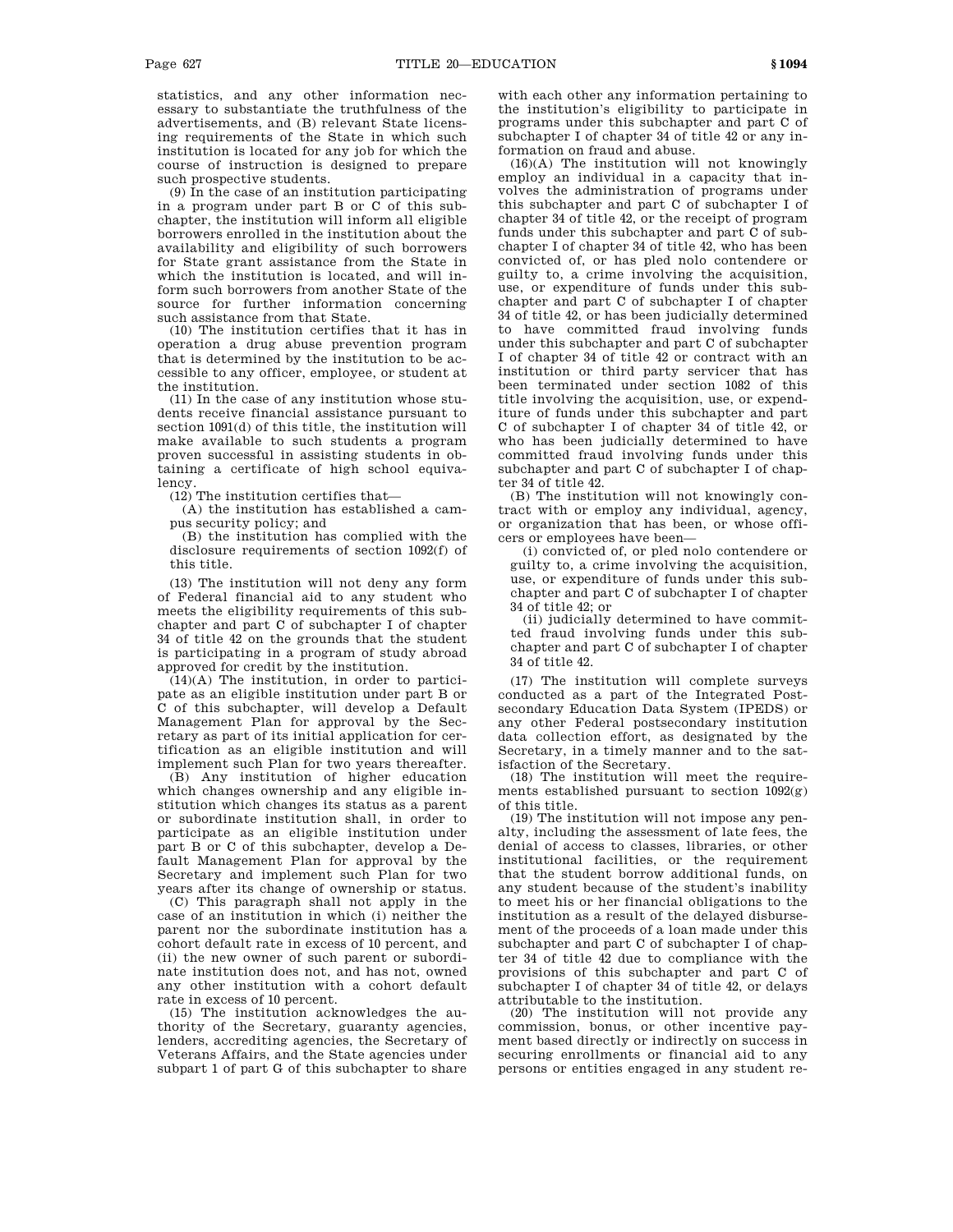statistics, and any other information necessary to substantiate the truthfulness of the advertisements, and (B) relevant State licensing requirements of the State in which such institution is located for any job for which the course of instruction is designed to prepare such prospective students.

(9) In the case of an institution participating in a program under part B or C of this subchapter, the institution will inform all eligible borrowers enrolled in the institution about the availability and eligibility of such borrowers for State grant assistance from the State in which the institution is located, and will inform such borrowers from another State of the source for further information concerning such assistance from that State.

(10) The institution certifies that it has in operation a drug abuse prevention program that is determined by the institution to be accessible to any officer, employee, or student at the institution.

(11) In the case of any institution whose students receive financial assistance pursuant to section 1091(d) of this title, the institution will make available to such students a program proven successful in assisting students in obtaining a certificate of high school equivalency.

(12) The institution certifies that—

(A) the institution has established a campus security policy; and

(B) the institution has complied with the disclosure requirements of section 1092(f) of this title.

(13) The institution will not deny any form of Federal financial aid to any student who meets the eligibility requirements of this subchapter and part C of subchapter I of chapter 34 of title 42 on the grounds that the student is participating in a program of study abroad approved for credit by the institution.

(14)(A) The institution, in order to participate as an eligible institution under part B or C of this subchapter, will develop a Default Management Plan for approval by the Secretary as part of its initial application for certification as an eligible institution and will implement such Plan for two years thereafter.

(B) Any institution of higher education which changes ownership and any eligible institution which changes its status as a parent or subordinate institution shall, in order to participate as an eligible institution under part B or C of this subchapter, develop a Default Management Plan for approval by the Secretary and implement such Plan for two years after its change of ownership or status.

(C) This paragraph shall not apply in the case of an institution in which (i) neither the parent nor the subordinate institution has a cohort default rate in excess of 10 percent, and (ii) the new owner of such parent or subordinate institution does not, and has not, owned any other institution with a cohort default rate in excess of 10 percent.

(15) The institution acknowledges the authority of the Secretary, guaranty agencies, lenders, accrediting agencies, the Secretary of Veterans Affairs, and the State agencies under subpart 1 of part G of this subchapter to share

with each other any information pertaining to the institution's eligibility to participate in programs under this subchapter and part C of subchapter I of chapter 34 of title 42 or any information on fraud and abuse.

(16)(A) The institution will not knowingly employ an individual in a capacity that involves the administration of programs under this subchapter and part C of subchapter I of chapter 34 of title 42, or the receipt of program funds under this subchapter and part C of subchapter I of chapter 34 of title 42, who has been convicted of, or has pled nolo contendere or guilty to, a crime involving the acquisition, use, or expenditure of funds under this subchapter and part C of subchapter I of chapter 34 of title 42, or has been judicially determined to have committed fraud involving funds under this subchapter and part C of subchapter I of chapter 34 of title 42 or contract with an institution or third party servicer that has been terminated under section 1082 of this title involving the acquisition, use, or expenditure of funds under this subchapter and part C of subchapter I of chapter 34 of title 42, or who has been judicially determined to have committed fraud involving funds under this subchapter and part C of subchapter I of chapter 34 of title 42.

(B) The institution will not knowingly contract with or employ any individual, agency, or organization that has been, or whose officers or employees have been—

(i) convicted of, or pled nolo contendere or guilty to, a crime involving the acquisition, use, or expenditure of funds under this subchapter and part C of subchapter I of chapter 34 of title 42; or

(ii) judicially determined to have committed fraud involving funds under this subchapter and part C of subchapter I of chapter 34 of title 42.

(17) The institution will complete surveys conducted as a part of the Integrated Postsecondary Education Data System (IPEDS) or any other Federal postsecondary institution data collection effort, as designated by the Secretary, in a timely manner and to the satisfaction of the Secretary.

(18) The institution will meet the requirements established pursuant to section 1092(g) of this title.

(19) The institution will not impose any penalty, including the assessment of late fees, the denial of access to classes, libraries, or other institutional facilities, or the requirement that the student borrow additional funds, on any student because of the student's inability to meet his or her financial obligations to the institution as a result of the delayed disbursement of the proceeds of a loan made under this subchapter and part C of subchapter I of chapter 34 of title 42 due to compliance with the provisions of this subchapter and part C of subchapter I of chapter 34 of title 42, or delays attributable to the institution.

(20) The institution will not provide any commission, bonus, or other incentive payment based directly or indirectly on success in securing enrollments or financial aid to any persons or entities engaged in any student re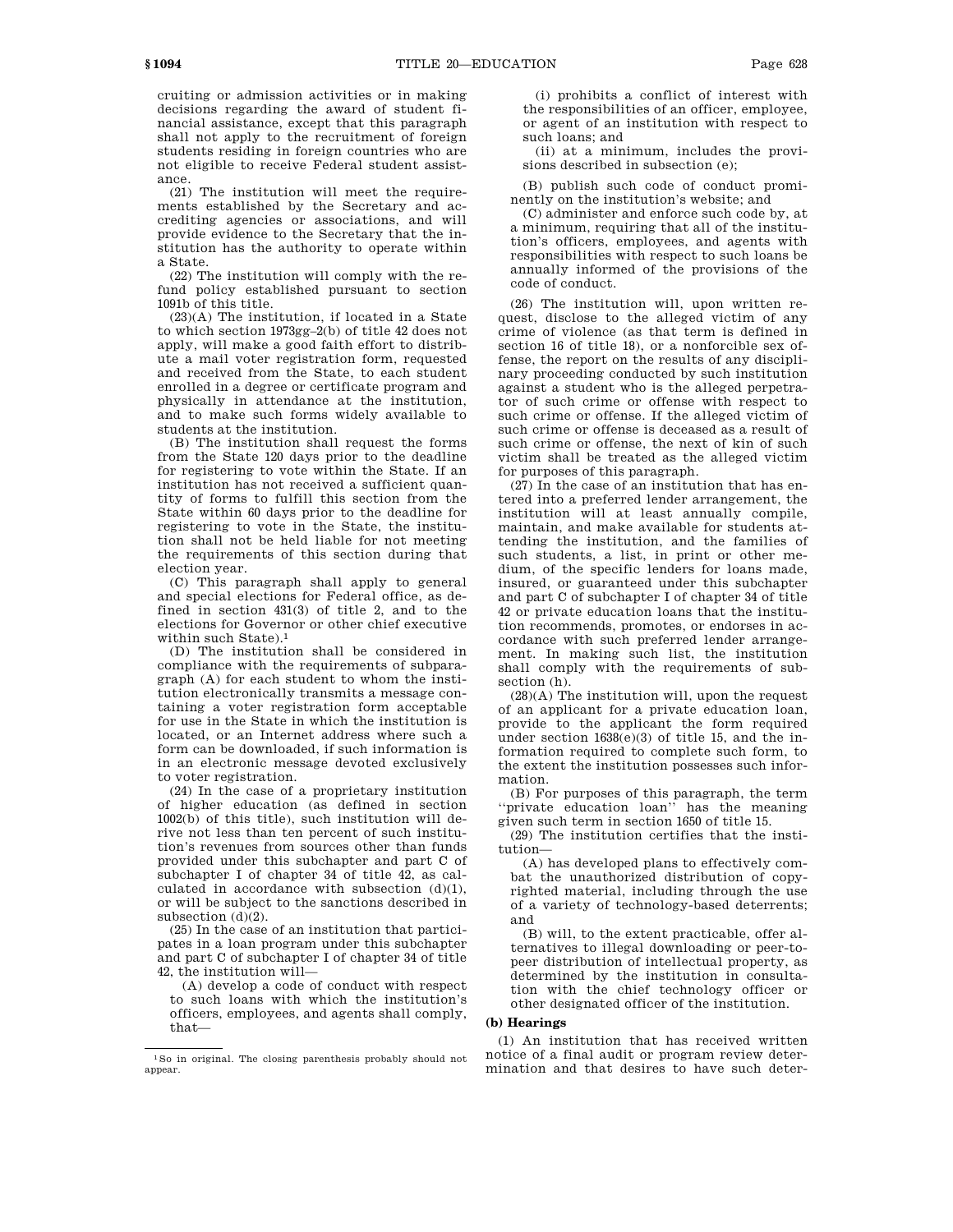cruiting or admission activities or in making decisions regarding the award of student fi-

nancial assistance, except that this paragraph shall not apply to the recruitment of foreign students residing in foreign countries who are not eligible to receive Federal student assistance.

(21) The institution will meet the requirements established by the Secretary and accrediting agencies or associations, and will provide evidence to the Secretary that the institution has the authority to operate within a State.

(22) The institution will comply with the refund policy established pursuant to section 1091b of this title.

(23)(A) The institution, if located in a State to which section 1973gg–2(b) of title 42 does not apply, will make a good faith effort to distribute a mail voter registration form, requested and received from the State, to each student enrolled in a degree or certificate program and physically in attendance at the institution, and to make such forms widely available to students at the institution.

(B) The institution shall request the forms from the State 120 days prior to the deadline for registering to vote within the State. If an institution has not received a sufficient quantity of forms to fulfill this section from the State within 60 days prior to the deadline for registering to vote in the State, the institution shall not be held liable for not meeting the requirements of this section during that election year.

(C) This paragraph shall apply to general and special elections for Federal office, as defined in section 431(3) of title 2, and to the elections for Governor or other chief executive within such State).1

(D) The institution shall be considered in compliance with the requirements of subparagraph (A) for each student to whom the institution electronically transmits a message containing a voter registration form acceptable for use in the State in which the institution is located, or an Internet address where such a form can be downloaded, if such information is in an electronic message devoted exclusively to voter registration.

(24) In the case of a proprietary institution of higher education (as defined in section 1002(b) of this title), such institution will derive not less than ten percent of such institution's revenues from sources other than funds provided under this subchapter and part C of subchapter I of chapter 34 of title 42, as calculated in accordance with subsection  $(d)(1)$ , or will be subject to the sanctions described in subsection (d)(2).

(25) In the case of an institution that participates in a loan program under this subchapter and part C of subchapter I of chapter 34 of title 42, the institution will—

(A) develop a code of conduct with respect to such loans with which the institution's officers, employees, and agents shall comply, that—

(i) prohibits a conflict of interest with the responsibilities of an officer, employee, or agent of an institution with respect to such loans; and

(ii) at a minimum, includes the provisions described in subsection (e);

(B) publish such code of conduct prominently on the institution's website; and

(C) administer and enforce such code by, at a minimum, requiring that all of the institution's officers, employees, and agents with responsibilities with respect to such loans be annually informed of the provisions of the code of conduct.

(26) The institution will, upon written request, disclose to the alleged victim of any crime of violence (as that term is defined in section 16 of title 18), or a nonforcible sex offense, the report on the results of any disciplinary proceeding conducted by such institution against a student who is the alleged perpetrator of such crime or offense with respect to such crime or offense. If the alleged victim of such crime or offense is deceased as a result of such crime or offense, the next of kin of such victim shall be treated as the alleged victim for purposes of this paragraph.

(27) In the case of an institution that has entered into a preferred lender arrangement, the institution will at least annually compile, maintain, and make available for students attending the institution, and the families of such students, a list, in print or other medium, of the specific lenders for loans made, insured, or guaranteed under this subchapter and part C of subchapter I of chapter 34 of title 42 or private education loans that the institution recommends, promotes, or endorses in accordance with such preferred lender arrangement. In making such list, the institution shall comply with the requirements of subsection (h).

(28)(A) The institution will, upon the request of an applicant for a private education loan, provide to the applicant the form required under section 1638(e)(3) of title 15, and the information required to complete such form, to the extent the institution possesses such information.

(B) For purposes of this paragraph, the term ''private education loan'' has the meaning given such term in section 1650 of title 15.

(29) The institution certifies that the institution—

(A) has developed plans to effectively combat the unauthorized distribution of copyrighted material, including through the use of a variety of technology-based deterrents; and

(B) will, to the extent practicable, offer alternatives to illegal downloading or peer-topeer distribution of intellectual property, as determined by the institution in consultation with the chief technology officer or other designated officer of the institution.

## **(b) Hearings**

(1) An institution that has received written notice of a final audit or program review determination and that desires to have such deter-

<sup>1</sup>So in original. The closing parenthesis probably should not appear.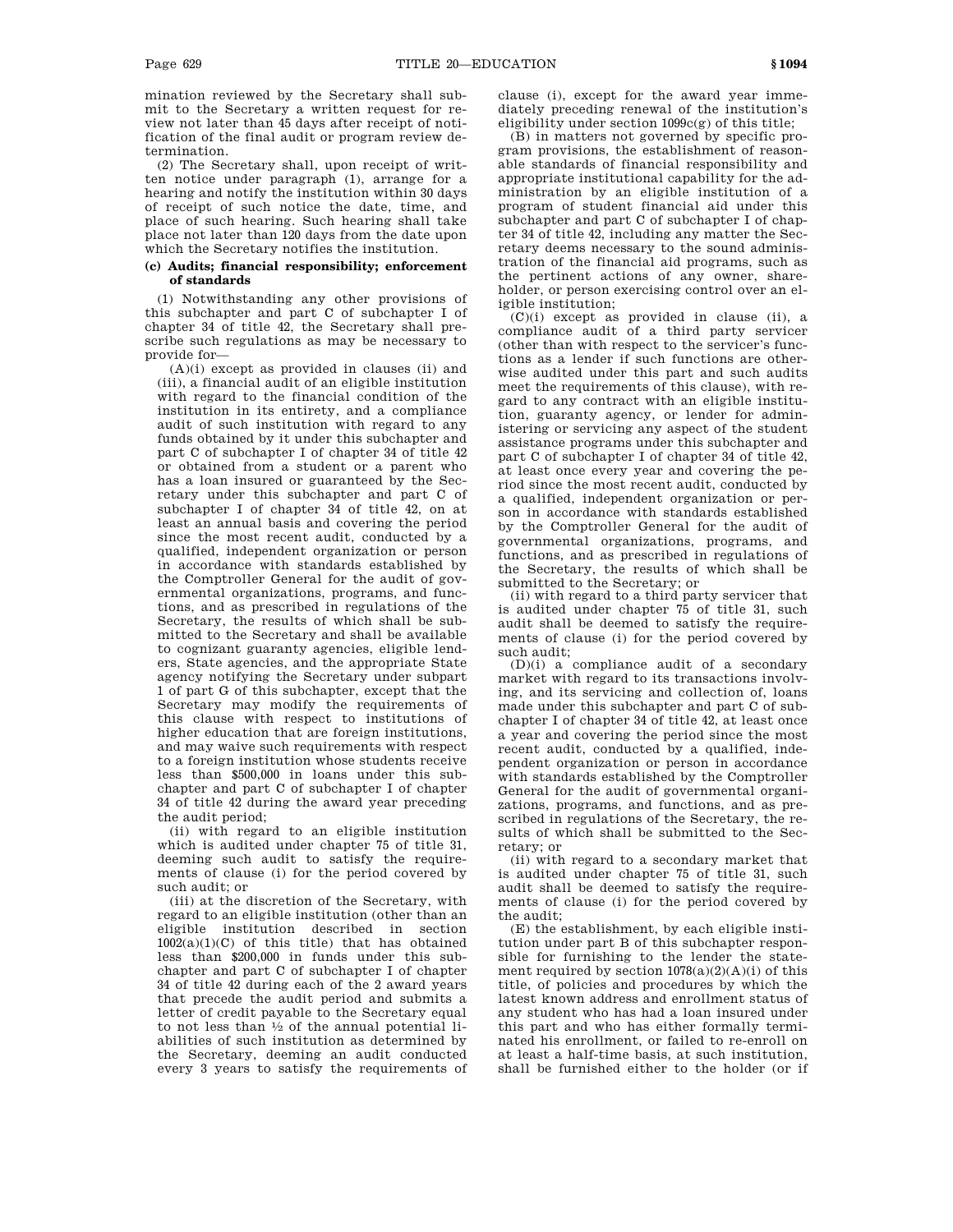mination reviewed by the Secretary shall submit to the Secretary a written request for review not later than 45 days after receipt of notification of the final audit or program review determination.

(2) The Secretary shall, upon receipt of written notice under paragraph (1), arrange for a hearing and notify the institution within 30 days of receipt of such notice the date, time, and place of such hearing. Such hearing shall take place not later than 120 days from the date upon which the Secretary notifies the institution.

# **(c) Audits; financial responsibility; enforcement of standards**

(1) Notwithstanding any other provisions of this subchapter and part C of subchapter I of chapter 34 of title 42, the Secretary shall prescribe such regulations as may be necessary to provide for—

(A)(i) except as provided in clauses (ii) and (iii), a financial audit of an eligible institution with regard to the financial condition of the institution in its entirety, and a compliance audit of such institution with regard to any funds obtained by it under this subchapter and part C of subchapter I of chapter 34 of title 42 or obtained from a student or a parent who has a loan insured or guaranteed by the Secretary under this subchapter and part C of subchapter I of chapter 34 of title 42, on at least an annual basis and covering the period since the most recent audit, conducted by a qualified, independent organization or person in accordance with standards established by the Comptroller General for the audit of governmental organizations, programs, and functions, and as prescribed in regulations of the Secretary, the results of which shall be submitted to the Secretary and shall be available to cognizant guaranty agencies, eligible lenders, State agencies, and the appropriate State agency notifying the Secretary under subpart 1 of part G of this subchapter, except that the Secretary may modify the requirements of this clause with respect to institutions of higher education that are foreign institutions, and may waive such requirements with respect to a foreign institution whose students receive less than \$500,000 in loans under this subchapter and part C of subchapter I of chapter 34 of title 42 during the award year preceding the audit period;

(ii) with regard to an eligible institution which is audited under chapter 75 of title 31, deeming such audit to satisfy the requirements of clause (i) for the period covered by such audit; or

(iii) at the discretion of the Secretary, with regard to an eligible institution (other than an eligible institution described in section  $1002(a)(1)(C)$  of this title) that has obtained less than \$200,000 in funds under this subchapter and part C of subchapter I of chapter 34 of title 42 during each of the 2 award years that precede the audit period and submits a letter of credit payable to the Secretary equal to not less than 1 ⁄2 of the annual potential liabilities of such institution as determined by the Secretary, deeming an audit conducted every 3 years to satisfy the requirements of clause (i), except for the award year immediately preceding renewal of the institution's eligibility under section 1099c(g) of this title;

(B) in matters not governed by specific program provisions, the establishment of reasonable standards of financial responsibility and appropriate institutional capability for the administration by an eligible institution of a program of student financial aid under this subchapter and part C of subchapter I of chapter 34 of title 42, including any matter the Secretary deems necessary to the sound administration of the financial aid programs, such as the pertinent actions of any owner, shareholder, or person exercising control over an eligible institution;

 $(C)(i)$  except as provided in clause (ii), a compliance audit of a third party servicer (other than with respect to the servicer's functions as a lender if such functions are otherwise audited under this part and such audits meet the requirements of this clause), with regard to any contract with an eligible institution, guaranty agency, or lender for administering or servicing any aspect of the student assistance programs under this subchapter and part C of subchapter I of chapter 34 of title 42, at least once every year and covering the period since the most recent audit, conducted by a qualified, independent organization or person in accordance with standards established by the Comptroller General for the audit of governmental organizations, programs, and functions, and as prescribed in regulations of the Secretary, the results of which shall be submitted to the Secretary; or

(ii) with regard to a third party servicer that is audited under chapter 75 of title 31, such audit shall be deemed to satisfy the requirements of clause (i) for the period covered by such audit;

(D)(i) a compliance audit of a secondary market with regard to its transactions involving, and its servicing and collection of, loans made under this subchapter and part C of subchapter I of chapter 34 of title 42, at least once a year and covering the period since the most recent audit, conducted by a qualified, independent organization or person in accordance with standards established by the Comptroller General for the audit of governmental organizations, programs, and functions, and as prescribed in regulations of the Secretary, the results of which shall be submitted to the Secretary; or

(ii) with regard to a secondary market that is audited under chapter 75 of title 31, such audit shall be deemed to satisfy the requirements of clause (i) for the period covered by the audit;

(E) the establishment, by each eligible institution under part B of this subchapter responsible for furnishing to the lender the statement required by section  $1078(a)(2)(A)(i)$  of this title, of policies and procedures by which the latest known address and enrollment status of any student who has had a loan insured under this part and who has either formally terminated his enrollment, or failed to re-enroll on at least a half-time basis, at such institution, shall be furnished either to the holder (or if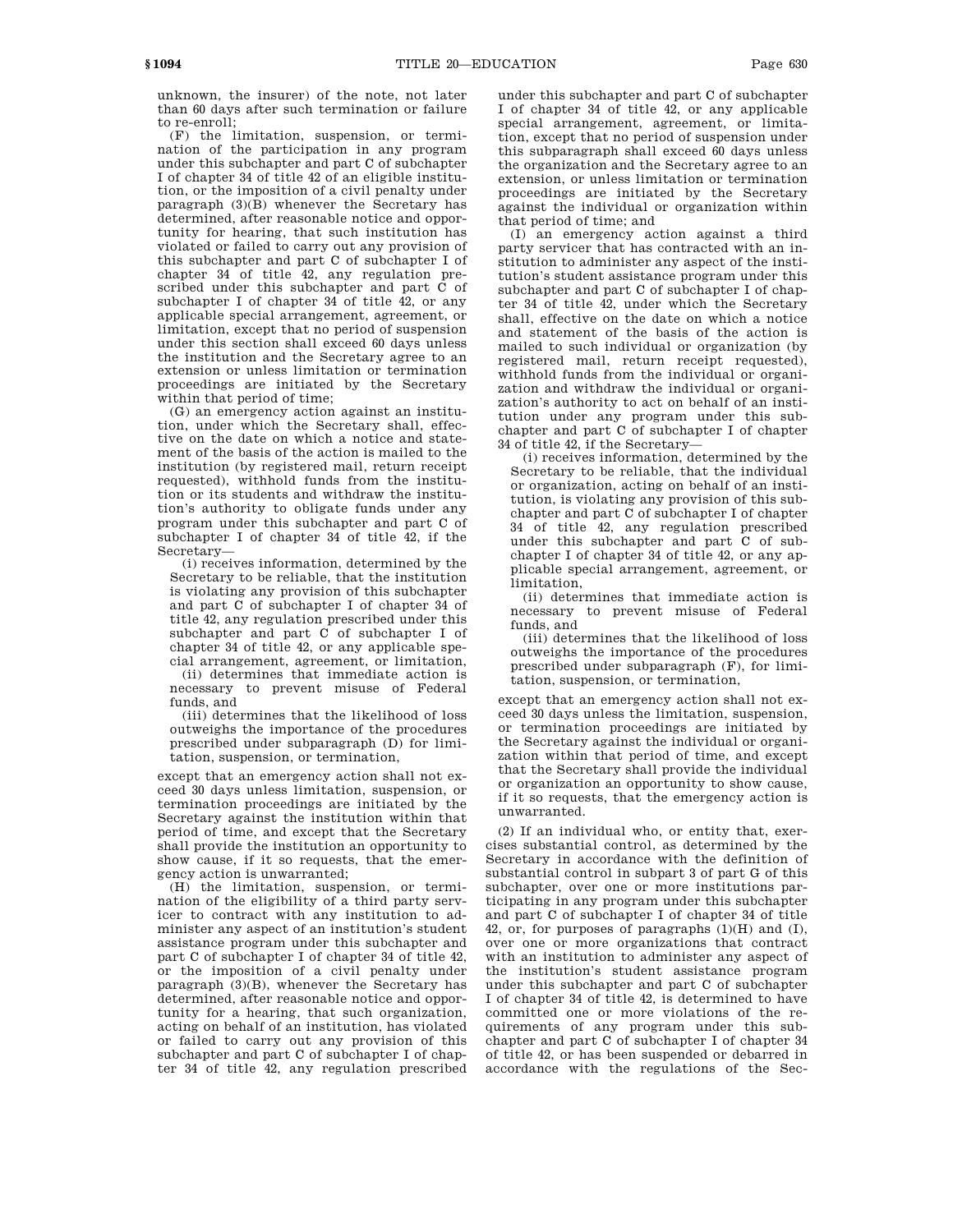(F) the limitation, suspension, or termination of the participation in any program under this subchapter and part C of subchapter I of chapter 34 of title 42 of an eligible institution, or the imposition of a civil penalty under paragraph (3)(B) whenever the Secretary has determined, after reasonable notice and opportunity for hearing, that such institution has violated or failed to carry out any provision of this subchapter and part C of subchapter I of chapter 34 of title 42, any regulation prescribed under this subchapter and part C of subchapter I of chapter 34 of title 42, or any applicable special arrangement, agreement, or limitation, except that no period of suspension under this section shall exceed 60 days unless the institution and the Secretary agree to an extension or unless limitation or termination proceedings are initiated by the Secretary within that period of time;

(G) an emergency action against an institution, under which the Secretary shall, effective on the date on which a notice and statement of the basis of the action is mailed to the institution (by registered mail, return receipt requested), withhold funds from the institution or its students and withdraw the institution's authority to obligate funds under any program under this subchapter and part C of subchapter I of chapter 34 of title 42, if the Secretary—

(i) receives information, determined by the Secretary to be reliable, that the institution is violating any provision of this subchapter and part C of subchapter I of chapter 34 of title 42, any regulation prescribed under this subchapter and part C of subchapter I of chapter 34 of title 42, or any applicable special arrangement, agreement, or limitation,

(ii) determines that immediate action is necessary to prevent misuse of Federal funds, and

(iii) determines that the likelihood of loss outweighs the importance of the procedures prescribed under subparagraph (D) for limitation, suspension, or termination,

except that an emergency action shall not exceed 30 days unless limitation, suspension, or termination proceedings are initiated by the Secretary against the institution within that period of time, and except that the Secretary shall provide the institution an opportunity to show cause, if it so requests, that the emergency action is unwarranted;

(H) the limitation, suspension, or termination of the eligibility of a third party servicer to contract with any institution to administer any aspect of an institution's student assistance program under this subchapter and part C of subchapter I of chapter 34 of title 42, or the imposition of a civil penalty under paragraph (3)(B), whenever the Secretary has determined, after reasonable notice and opportunity for a hearing, that such organization, acting on behalf of an institution, has violated or failed to carry out any provision of this subchapter and part C of subchapter I of chapter 34 of title 42, any regulation prescribed under this subchapter and part C of subchapter I of chapter 34 of title 42, or any applicable special arrangement, agreement, or limitation, except that no period of suspension under this subparagraph shall exceed 60 days unless the organization and the Secretary agree to an extension, or unless limitation or termination proceedings are initiated by the Secretary against the individual or organization within that period of time; and

(I) an emergency action against a third party servicer that has contracted with an institution to administer any aspect of the institution's student assistance program under this subchapter and part C of subchapter I of chapter 34 of title 42, under which the Secretary shall, effective on the date on which a notice and statement of the basis of the action is mailed to such individual or organization (by registered mail, return receipt requested), withhold funds from the individual or organization and withdraw the individual or organization's authority to act on behalf of an institution under any program under this subchapter and part C of subchapter I of chapter 34 of title 42, if the Secretary—

(i) receives information, determined by the Secretary to be reliable, that the individual or organization, acting on behalf of an institution, is violating any provision of this subchapter and part C of subchapter I of chapter 34 of title 42, any regulation prescribed under this subchapter and part C of subchapter I of chapter 34 of title 42, or any applicable special arrangement, agreement, or limitation,

(ii) determines that immediate action is necessary to prevent misuse of Federal funds, and

(iii) determines that the likelihood of loss outweighs the importance of the procedures prescribed under subparagraph (F), for limitation, suspension, or termination,

except that an emergency action shall not exceed 30 days unless the limitation, suspension, or termination proceedings are initiated by the Secretary against the individual or organization within that period of time, and except that the Secretary shall provide the individual or organization an opportunity to show cause, if it so requests, that the emergency action is unwarranted.

(2) If an individual who, or entity that, exercises substantial control, as determined by the Secretary in accordance with the definition of substantial control in subpart 3 of part G of this subchapter, over one or more institutions participating in any program under this subchapter and part C of subchapter I of chapter 34 of title 42, or, for purposes of paragraphs (1)(H) and (I), over one or more organizations that contract with an institution to administer any aspect of the institution's student assistance program under this subchapter and part C of subchapter I of chapter 34 of title 42, is determined to have committed one or more violations of the requirements of any program under this subchapter and part C of subchapter I of chapter 34 of title 42, or has been suspended or debarred in accordance with the regulations of the Sec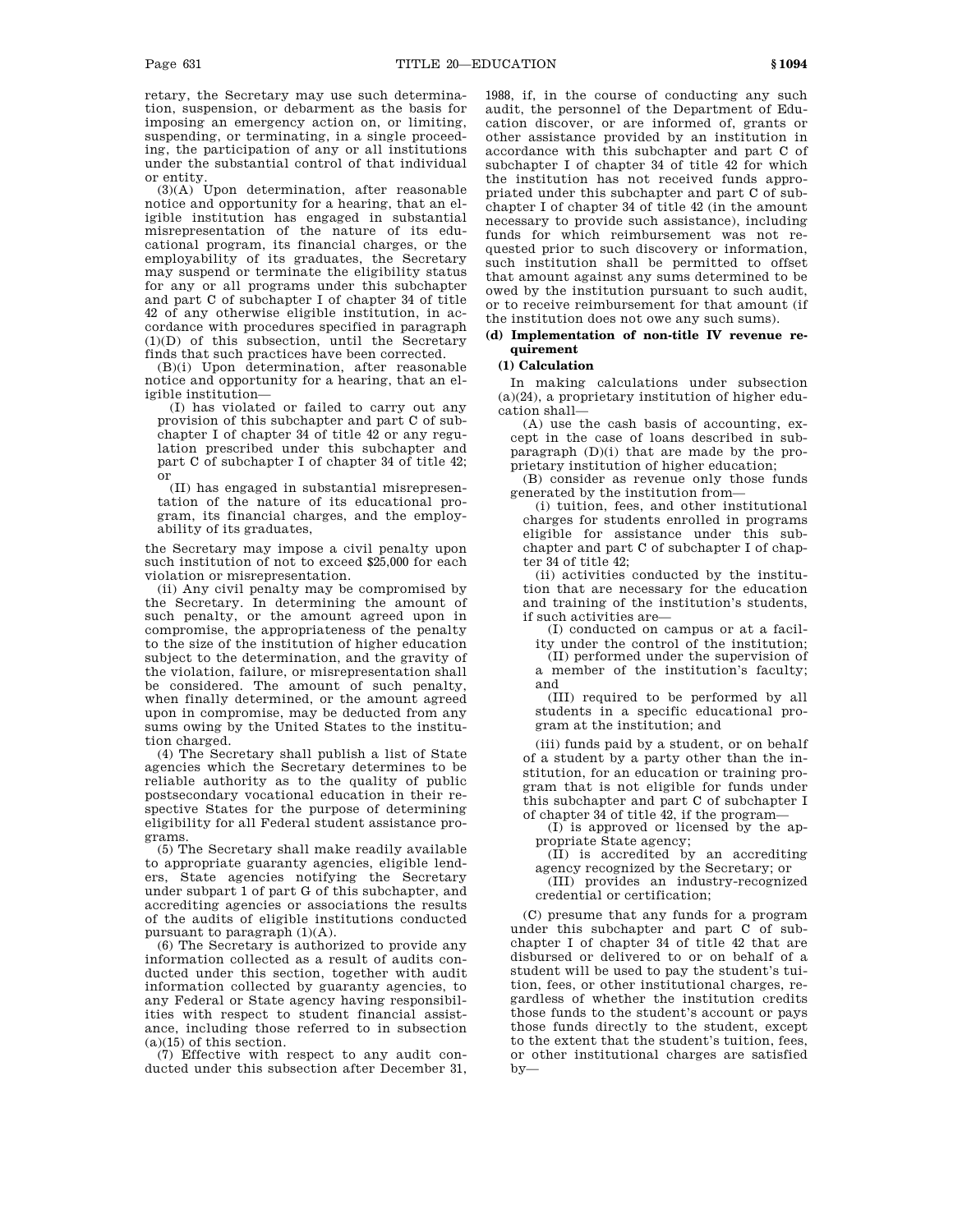retary, the Secretary may use such determination, suspension, or debarment as the basis for imposing an emergency action on, or limiting, suspending, or terminating, in a single proceeding, the participation of any or all institutions under the substantial control of that individual or entity.

(3)(A) Upon determination, after reasonable notice and opportunity for a hearing, that an eligible institution has engaged in substantial misrepresentation of the nature of its educational program, its financial charges, or the employability of its graduates, the Secretary may suspend or terminate the eligibility status for any or all programs under this subchapter and part C of subchapter I of chapter 34 of title 42 of any otherwise eligible institution, in accordance with procedures specified in paragraph (1)(D) of this subsection, until the Secretary finds that such practices have been corrected.

(B)(i) Upon determination, after reasonable notice and opportunity for a hearing, that an eligible institution—

(I) has violated or failed to carry out any provision of this subchapter and part C of subchapter I of chapter 34 of title 42 or any regulation prescribed under this subchapter and part C of subchapter I of chapter 34 of title 42; or

(II) has engaged in substantial misrepresentation of the nature of its educational program, its financial charges, and the employability of its graduates,

the Secretary may impose a civil penalty upon such institution of not to exceed \$25,000 for each violation or misrepresentation.

(ii) Any civil penalty may be compromised by the Secretary. In determining the amount of such penalty, or the amount agreed upon in compromise, the appropriateness of the penalty to the size of the institution of higher education subject to the determination, and the gravity of the violation, failure, or misrepresentation shall be considered. The amount of such penalty, when finally determined, or the amount agreed upon in compromise, may be deducted from any sums owing by the United States to the institution charged.

(4) The Secretary shall publish a list of State agencies which the Secretary determines to be reliable authority as to the quality of public postsecondary vocational education in their respective States for the purpose of determining eligibility for all Federal student assistance programs.

(5) The Secretary shall make readily available to appropriate guaranty agencies, eligible lenders, State agencies notifying the Secretary under subpart 1 of part G of this subchapter, and accrediting agencies or associations the results of the audits of eligible institutions conducted pursuant to paragraph (1)(A).

(6) The Secretary is authorized to provide any information collected as a result of audits conducted under this section, together with audit information collected by guaranty agencies, to any Federal or State agency having responsibilities with respect to student financial assistance, including those referred to in subsection  $(a)(15)$  of this section.

(7) Effective with respect to any audit conducted under this subsection after December 31, 1988, if, in the course of conducting any such audit, the personnel of the Department of Education discover, or are informed of, grants or other assistance provided by an institution in accordance with this subchapter and part C of subchapter I of chapter 34 of title 42 for which the institution has not received funds appropriated under this subchapter and part C of subchapter I of chapter 34 of title 42 (in the amount necessary to provide such assistance), including funds for which reimbursement was not requested prior to such discovery or information, such institution shall be permitted to offset that amount against any sums determined to be owed by the institution pursuant to such audit, or to receive reimbursement for that amount (if the institution does not owe any such sums).

# **(d) Implementation of non-title IV revenue requirement**

# **(1) Calculation**

In making calculations under subsection (a)(24), a proprietary institution of higher education shall—

(A) use the cash basis of accounting, except in the case of loans described in subparagraph (D)(i) that are made by the proprietary institution of higher education;

(B) consider as revenue only those funds generated by the institution from—

(i) tuition, fees, and other institutional charges for students enrolled in programs eligible for assistance under this subchapter and part C of subchapter I of chapter 34 of title 42;

(ii) activities conducted by the institution that are necessary for the education and training of the institution's students, if such activities are—

(I) conducted on campus or at a facil-

ity under the control of the institution; (II) performed under the supervision of a member of the institution's faculty; and

(III) required to be performed by all students in a specific educational program at the institution; and

(iii) funds paid by a student, or on behalf of a student by a party other than the institution, for an education or training program that is not eligible for funds under this subchapter and part C of subchapter I of chapter 34 of title 42, if the program—

(I) is approved or licensed by the appropriate State agency;

(II) is accredited by an accrediting agency recognized by the Secretary; or

(III) provides an industry-recognized credential or certification;

(C) presume that any funds for a program under this subchapter and part C of subchapter I of chapter 34 of title 42 that are disbursed or delivered to or on behalf of a student will be used to pay the student's tuition, fees, or other institutional charges, regardless of whether the institution credits those funds to the student's account or pays those funds directly to the student, except to the extent that the student's tuition, fees, or other institutional charges are satisfied by—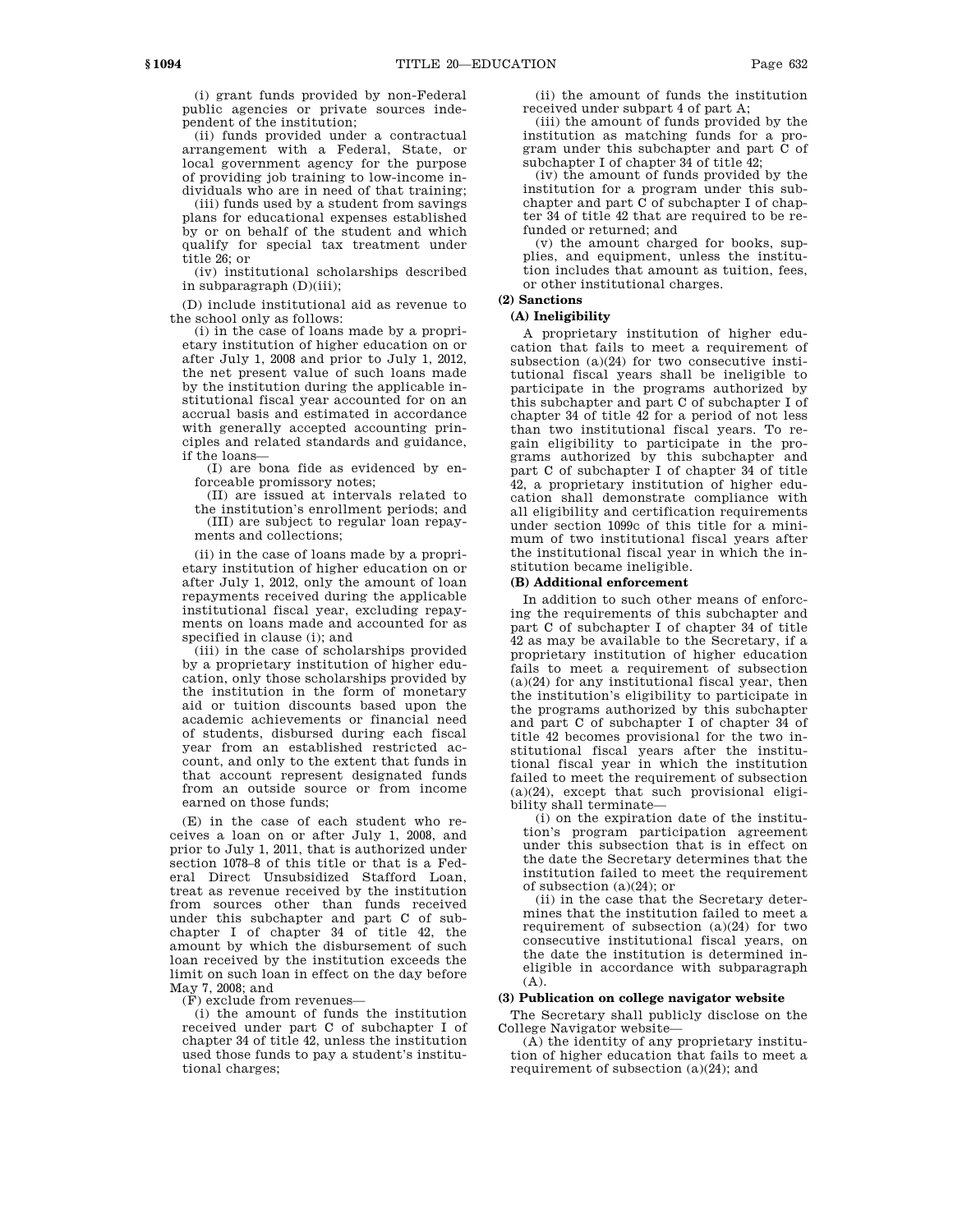(i) grant funds provided by non-Federal public agencies or private sources independent of the institution;

(ii) funds provided under a contractual arrangement with a Federal, State, or local government agency for the purpose of providing job training to low-income individuals who are in need of that training;

(iii) funds used by a student from savings plans for educational expenses established by or on behalf of the student and which qualify for special tax treatment under title 26; or

(iv) institutional scholarships described in subparagraph (D)(iii);

(D) include institutional aid as revenue to the school only as follows:

(i) in the case of loans made by a proprietary institution of higher education on or after July 1, 2008 and prior to July 1, 2012, the net present value of such loans made by the institution during the applicable institutional fiscal year accounted for on an accrual basis and estimated in accordance with generally accepted accounting principles and related standards and guidance, if the loans—

(I) are bona fide as evidenced by enforceable promissory notes;

(II) are issued at intervals related to the institution's enrollment periods; and

(III) are subject to regular loan repayments and collections;

(ii) in the case of loans made by a proprietary institution of higher education on or after July 1, 2012, only the amount of loan repayments received during the applicable institutional fiscal year, excluding repayments on loans made and accounted for as specified in clause (i); and

(iii) in the case of scholarships provided by a proprietary institution of higher education, only those scholarships provided by the institution in the form of monetary aid or tuition discounts based upon the academic achievements or financial need of students, disbursed during each fiscal year from an established restricted account, and only to the extent that funds in that account represent designated funds from an outside source or from income earned on those funds;

(E) in the case of each student who receives a loan on or after July 1, 2008, and prior to July 1, 2011, that is authorized under section 1078–8 of this title or that is a Federal Direct Unsubsidized Stafford Loan, treat as revenue received by the institution from sources other than funds received under this subchapter and part C of subchapter I of chapter 34 of title 42, the amount by which the disbursement of such loan received by the institution exceeds the limit on such loan in effect on the day before May 7, 2008; and

(F) exclude from revenues—

(i) the amount of funds the institution received under part C of subchapter I of chapter 34 of title 42, unless the institution used those funds to pay a student's institutional charges;

(ii) the amount of funds the institution received under subpart 4 of part A;

(iii) the amount of funds provided by the institution as matching funds for a program under this subchapter and part C of subchapter I of chapter 34 of title 42;

(iv) the amount of funds provided by the institution for a program under this subchapter and part C of subchapter I of chapter 34 of title 42 that are required to be refunded or returned; and

(v) the amount charged for books, supplies, and equipment, unless the institution includes that amount as tuition, fees, or other institutional charges.

# **(2) Sanctions**

# **(A) Ineligibility**

A proprietary institution of higher education that fails to meet a requirement of subsection (a)(24) for two consecutive institutional fiscal years shall be ineligible to participate in the programs authorized by this subchapter and part C of subchapter I of chapter 34 of title 42 for a period of not less than two institutional fiscal years. To regain eligibility to participate in the programs authorized by this subchapter and part C of subchapter I of chapter 34 of title 42, a proprietary institution of higher education shall demonstrate compliance with all eligibility and certification requirements under section 1099c of this title for a minimum of two institutional fiscal years after the institutional fiscal year in which the institution became ineligible.

# **(B) Additional enforcement**

In addition to such other means of enforcing the requirements of this subchapter and part C of subchapter I of chapter 34 of title 42 as may be available to the Secretary, if a proprietary institution of higher education fails to meet a requirement of subsection  $(a)(24)$  for any institutional fiscal year, then the institution's eligibility to participate in the programs authorized by this subchapter and part C of subchapter I of chapter 34 of title 42 becomes provisional for the two institutional fiscal years after the institutional fiscal year in which the institution failed to meet the requirement of subsection (a)(24), except that such provisional eligibility shall terminate—

(i) on the expiration date of the institution's program participation agreement under this subsection that is in effect on the date the Secretary determines that the institution failed to meet the requirement of subsection (a)(24); or

(ii) in the case that the Secretary determines that the institution failed to meet a requirement of subsection (a)(24) for two consecutive institutional fiscal years, on the date the institution is determined ineligible in accordance with subparagraph  $(A)$ .

# **(3) Publication on college navigator website**

The Secretary shall publicly disclose on the College Navigator website—

(A) the identity of any proprietary institution of higher education that fails to meet a requirement of subsection (a)(24); and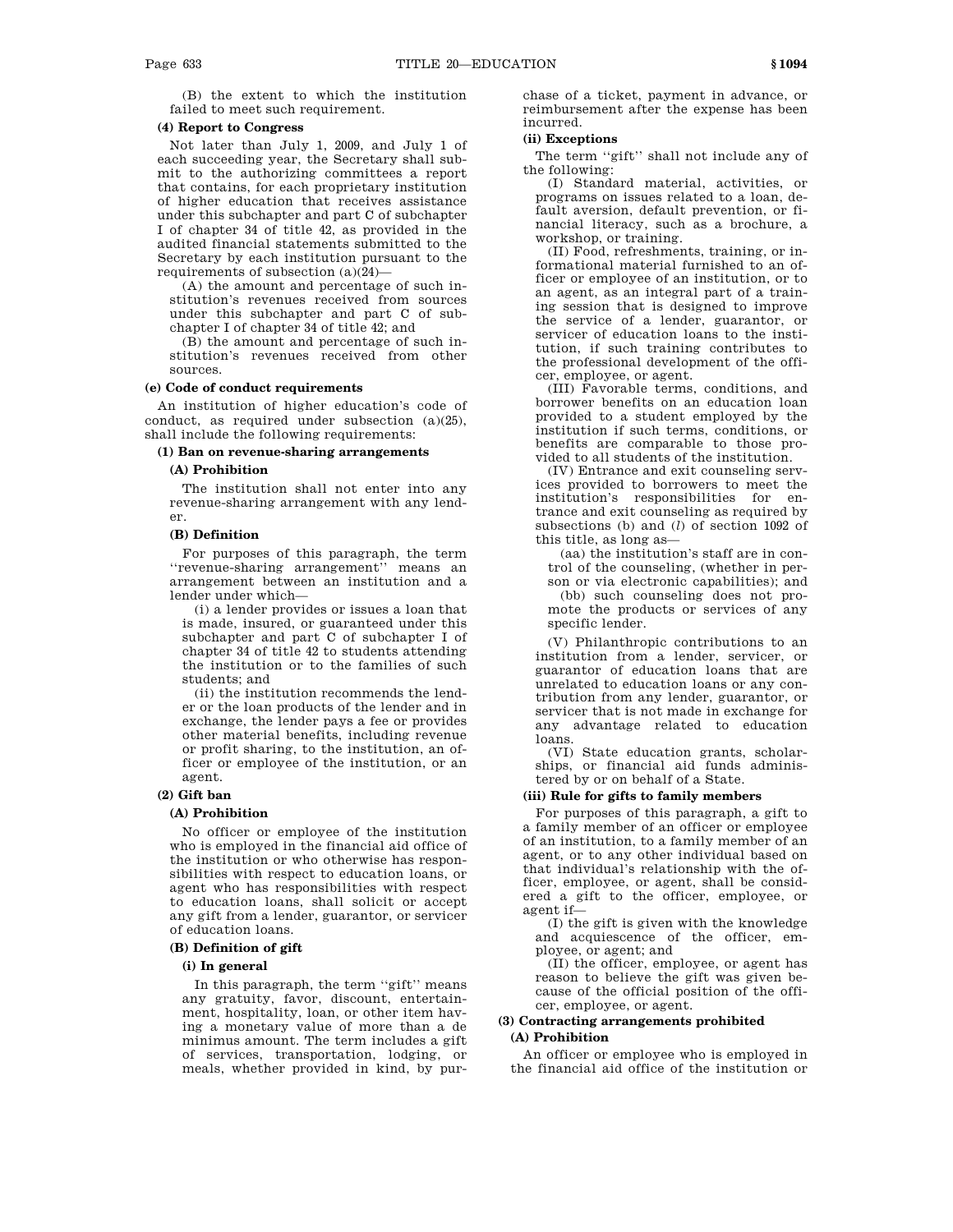(B) the extent to which the institution failed to meet such requirement.

# **(4) Report to Congress**

Not later than July 1, 2009, and July 1 of each succeeding year, the Secretary shall submit to the authorizing committees a report that contains, for each proprietary institution of higher education that receives assistance under this subchapter and part C of subchapter I of chapter 34 of title 42, as provided in the audited financial statements submitted to the Secretary by each institution pursuant to the requirements of subsection (a)(24)—

(A) the amount and percentage of such institution's revenues received from sources under this subchapter and part C of subchapter I of chapter 34 of title 42; and

(B) the amount and percentage of such institution's revenues received from other sources.

# **(e) Code of conduct requirements**

An institution of higher education's code of conduct, as required under subsection (a)(25), shall include the following requirements:

# **(1) Ban on revenue-sharing arrangements**

## **(A) Prohibition**

The institution shall not enter into any revenue-sharing arrangement with any lender.

#### **(B) Definition**

For purposes of this paragraph, the term ''revenue-sharing arrangement'' means an arrangement between an institution and a lender under which—

(i) a lender provides or issues a loan that is made, insured, or guaranteed under this subchapter and part C of subchapter I of chapter 34 of title 42 to students attending the institution or to the families of such students; and

(ii) the institution recommends the lender or the loan products of the lender and in exchange, the lender pays a fee or provides other material benefits, including revenue or profit sharing, to the institution, an officer or employee of the institution, or an agent.

# **(2) Gift ban**

# **(A) Prohibition**

No officer or employee of the institution who is employed in the financial aid office of the institution or who otherwise has responsibilities with respect to education loans, or agent who has responsibilities with respect to education loans, shall solicit or accept any gift from a lender, guarantor, or servicer of education loans.

# **(B) Definition of gift**

## **(i) In general**

In this paragraph, the term ''gift'' means any gratuity, favor, discount, entertainment, hospitality, loan, or other item having a monetary value of more than a de minimus amount. The term includes a gift of services, transportation, lodging, or meals, whether provided in kind, by pur-

chase of a ticket, payment in advance, or reimbursement after the expense has been incurred.

#### **(ii) Exceptions**

The term ''gift'' shall not include any of the following:

(I) Standard material, activities, or programs on issues related to a loan, default aversion, default prevention, or financial literacy, such as a brochure, a workshop, or training.

(II) Food, refreshments, training, or informational material furnished to an officer or employee of an institution, or to an agent, as an integral part of a training session that is designed to improve the service of a lender, guarantor, or servicer of education loans to the institution, if such training contributes to the professional development of the officer, employee, or agent.

(III) Favorable terms, conditions, and borrower benefits on an education loan provided to a student employed by the institution if such terms, conditions, or benefits are comparable to those provided to all students of the institution.

(IV) Entrance and exit counseling services provided to borrowers to meet the institution's responsibilities for entrance and exit counseling as required by subsections (b) and (*l*) of section 1092 of this title, as long as—

(aa) the institution's staff are in control of the counseling, (whether in person or via electronic capabilities); and (bb) such counseling does not promote the products or services of any specific lender.

(V) Philanthropic contributions to an institution from a lender, servicer, or guarantor of education loans that are unrelated to education loans or any contribution from any lender, guarantor, or servicer that is not made in exchange for any advantage related to education loans.

(VI) State education grants, scholarships, or financial aid funds administered by or on behalf of a State.

# **(iii) Rule for gifts to family members**

For purposes of this paragraph, a gift to a family member of an officer or employee of an institution, to a family member of an agent, or to any other individual based on that individual's relationship with the officer, employee, or agent, shall be considered a gift to the officer, employee, or agent if—

(I) the gift is given with the knowledge and acquiescence of the officer, employee, or agent; and

(II) the officer, employee, or agent has reason to believe the gift was given because of the official position of the officer, employee, or agent.

## **(3) Contracting arrangements prohibited (A) Prohibition**

An officer or employee who is employed in the financial aid office of the institution or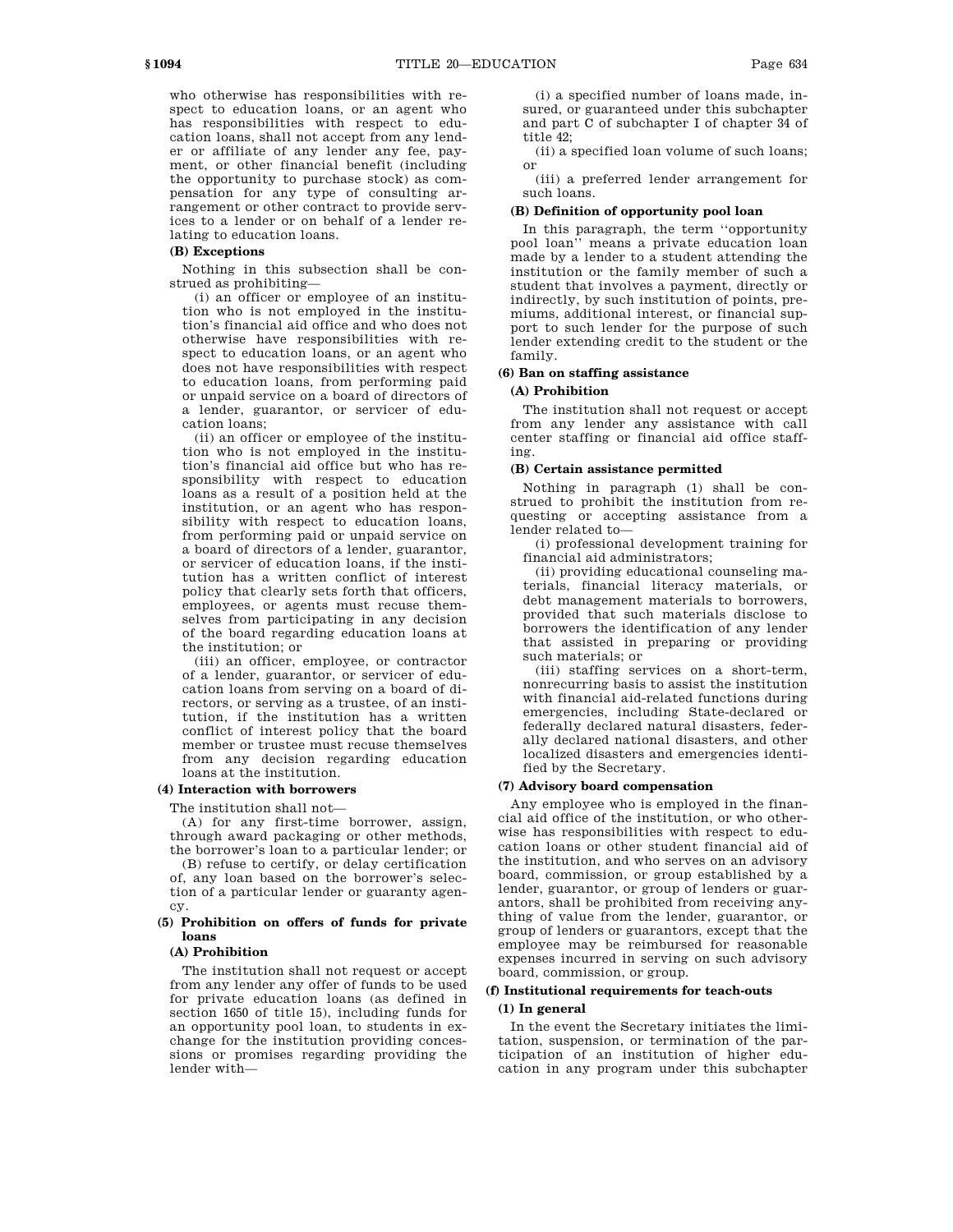who otherwise has responsibilities with respect to education loans, or an agent who has responsibilities with respect to education loans, shall not accept from any lender or affiliate of any lender any fee, payment, or other financial benefit (including the opportunity to purchase stock) as compensation for any type of consulting arrangement or other contract to provide services to a lender or on behalf of a lender re-

# lating to education loans. **(B) Exceptions**

Nothing in this subsection shall be construed as prohibiting—

(i) an officer or employee of an institution who is not employed in the institution's financial aid office and who does not otherwise have responsibilities with respect to education loans, or an agent who does not have responsibilities with respect to education loans, from performing paid or unpaid service on a board of directors of a lender, guarantor, or servicer of education loans;

(ii) an officer or employee of the institution who is not employed in the institution's financial aid office but who has responsibility with respect to education loans as a result of a position held at the institution, or an agent who has responsibility with respect to education loans, from performing paid or unpaid service on a board of directors of a lender, guarantor, or servicer of education loans, if the institution has a written conflict of interest policy that clearly sets forth that officers, employees, or agents must recuse themselves from participating in any decision of the board regarding education loans at the institution; or

(iii) an officer, employee, or contractor of a lender, guarantor, or servicer of education loans from serving on a board of directors, or serving as a trustee, of an institution, if the institution has a written conflict of interest policy that the board member or trustee must recuse themselves from any decision regarding education loans at the institution.

## **(4) Interaction with borrowers**

The institution shall not—

(A) for any first-time borrower, assign, through award packaging or other methods, the borrower's loan to a particular lender; or

(B) refuse to certify, or delay certification of, any loan based on the borrower's selection of a particular lender or guaranty agency.

# **(5) Prohibition on offers of funds for private loans**

## **(A) Prohibition**

The institution shall not request or accept from any lender any offer of funds to be used for private education loans (as defined in section 1650 of title 15), including funds for an opportunity pool loan, to students in exchange for the institution providing concessions or promises regarding providing the lender with—

(i) a specified number of loans made, insured, or guaranteed under this subchapter and part C of subchapter I of chapter 34 of title  $42<sup>°</sup>$ 

(ii) a specified loan volume of such loans; or

(iii) a preferred lender arrangement for such loans.

# **(B) Definition of opportunity pool loan**

In this paragraph, the term ''opportunity pool loan'' means a private education loan made by a lender to a student attending the institution or the family member of such a student that involves a payment, directly or indirectly, by such institution of points, premiums, additional interest, or financial support to such lender for the purpose of such lender extending credit to the student or the family.

# **(6) Ban on staffing assistance**

# **(A) Prohibition**

The institution shall not request or accept from any lender any assistance with call center staffing or financial aid office staffing.

#### **(B) Certain assistance permitted**

Nothing in paragraph (1) shall be construed to prohibit the institution from requesting or accepting assistance from a lender related to—

(i) professional development training for financial aid administrators;

(ii) providing educational counseling materials, financial literacy materials, or debt management materials to borrowers, provided that such materials disclose to borrowers the identification of any lender that assisted in preparing or providing such materials; or

(iii) staffing services on a short-term, nonrecurring basis to assist the institution with financial aid-related functions during emergencies, including State-declared or federally declared natural disasters, federally declared national disasters, and other localized disasters and emergencies identified by the Secretary.

# **(7) Advisory board compensation**

Any employee who is employed in the financial aid office of the institution, or who otherwise has responsibilities with respect to education loans or other student financial aid of the institution, and who serves on an advisory board, commission, or group established by a lender, guarantor, or group of lenders or guarantors, shall be prohibited from receiving anything of value from the lender, guarantor, or group of lenders or guarantors, except that the employee may be reimbursed for reasonable expenses incurred in serving on such advisory board, commission, or group.

# **(f) Institutional requirements for teach-outs (1) In general**

In the event the Secretary initiates the limitation, suspension, or termination of the participation of an institution of higher education in any program under this subchapter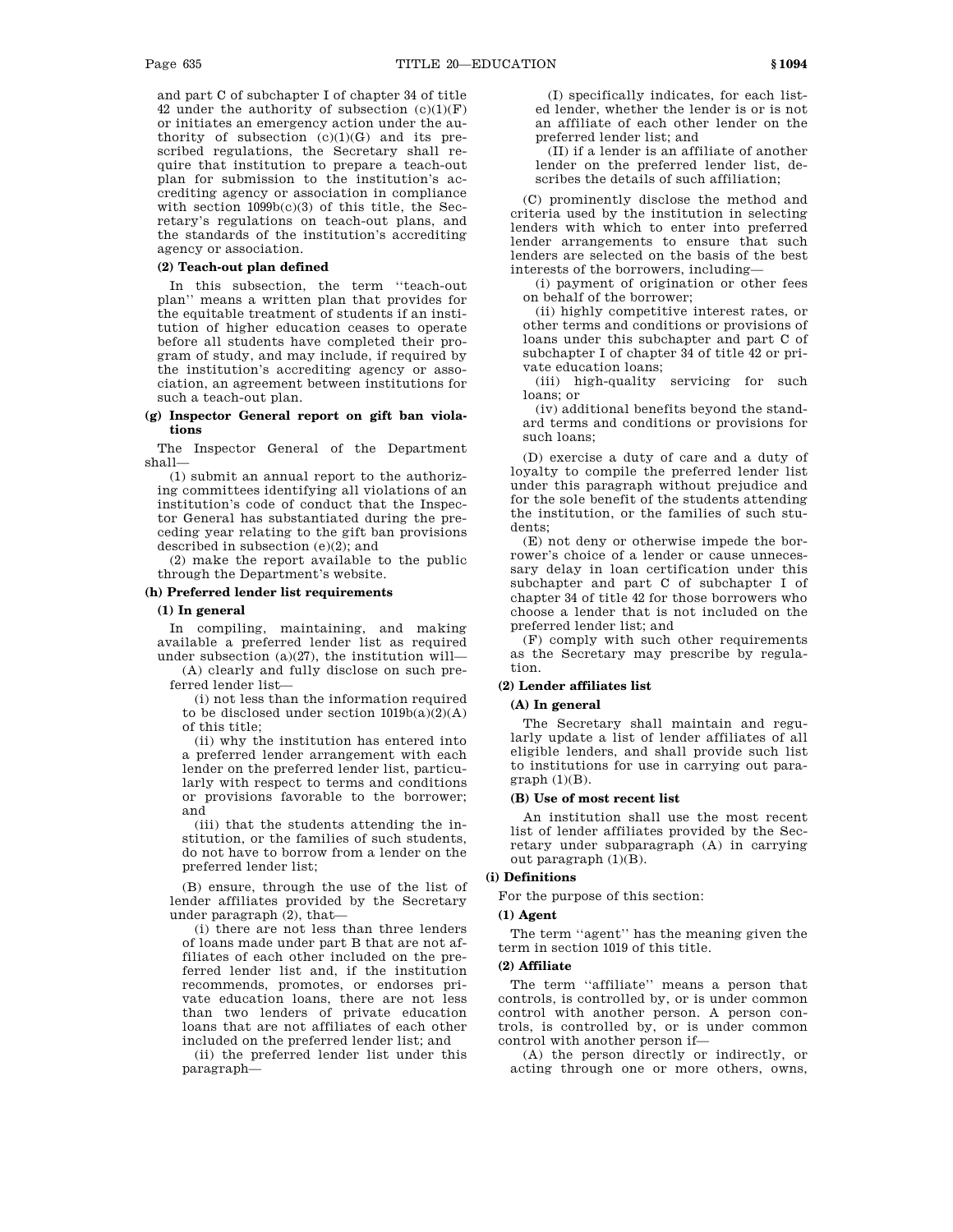and part C of subchapter I of chapter 34 of title 42 under the authority of subsection  $(c)(1)(F)$ or initiates an emergency action under the authority of subsection  $(c)(1)(G)$  and its prescribed regulations, the Secretary shall require that institution to prepare a teach-out plan for submission to the institution's accrediting agency or association in compliance with section 1099b(c)(3) of this title, the Secretary's regulations on teach-out plans, and the standards of the institution's accrediting agency or association.

# **(2) Teach-out plan defined**

In this subsection, the term ''teach-out plan'' means a written plan that provides for the equitable treatment of students if an institution of higher education ceases to operate before all students have completed their program of study, and may include, if required by the institution's accrediting agency or association, an agreement between institutions for such a teach-out plan.

# **(g) Inspector General report on gift ban violations**

The Inspector General of the Department shall—

(1) submit an annual report to the authorizing committees identifying all violations of an institution's code of conduct that the Inspector General has substantiated during the preceding year relating to the gift ban provisions described in subsection (e)(2); and

(2) make the report available to the public through the Department's website.

## **(h) Preferred lender list requirements**

#### **(1) In general**

In compiling, maintaining, and making available a preferred lender list as required under subsection  $(a)(27)$ , the institution will-

(A) clearly and fully disclose on such preferred lender list—

(i) not less than the information required to be disclosed under section  $1019b(a)(2)(A)$ of this title;

(ii) why the institution has entered into a preferred lender arrangement with each lender on the preferred lender list, particularly with respect to terms and conditions or provisions favorable to the borrower; and

(iii) that the students attending the institution, or the families of such students, do not have to borrow from a lender on the preferred lender list;

(B) ensure, through the use of the list of lender affiliates provided by the Secretary under paragraph (2), that—

(i) there are not less than three lenders of loans made under part B that are not affiliates of each other included on the preferred lender list and, if the institution recommends, promotes, or endorses private education loans, there are not less than two lenders of private education loans that are not affiliates of each other included on the preferred lender list; and

(ii) the preferred lender list under this paragraph—

(I) specifically indicates, for each listed lender, whether the lender is or is not an affiliate of each other lender on the preferred lender list; and

(II) if a lender is an affiliate of another lender on the preferred lender list, describes the details of such affiliation;

(C) prominently disclose the method and criteria used by the institution in selecting lenders with which to enter into preferred lender arrangements to ensure that such lenders are selected on the basis of the best interests of the borrowers, including—

(i) payment of origination or other fees on behalf of the borrower;

(ii) highly competitive interest rates, or other terms and conditions or provisions of loans under this subchapter and part C of subchapter I of chapter 34 of title 42 or private education loans;

(iii) high-quality servicing for such loans; or

(iv) additional benefits beyond the standard terms and conditions or provisions for such loans;

(D) exercise a duty of care and a duty of loyalty to compile the preferred lender list under this paragraph without prejudice and for the sole benefit of the students attending the institution, or the families of such students;

(E) not deny or otherwise impede the borrower's choice of a lender or cause unnecessary delay in loan certification under this subchapter and part C of subchapter I of chapter 34 of title 42 for those borrowers who choose a lender that is not included on the preferred lender list; and

(F) comply with such other requirements as the Secretary may prescribe by regulation.

# **(2) Lender affiliates list**

#### **(A) In general**

The Secretary shall maintain and regularly update a list of lender affiliates of all eligible lenders, and shall provide such list to institutions for use in carrying out para $graph (1)(B)$ .

#### **(B) Use of most recent list**

An institution shall use the most recent list of lender affiliates provided by the Secretary under subparagraph (A) in carrying out paragraph (1)(B).

## **(i) Definitions**

For the purpose of this section:

## **(1) Agent**

The term ''agent'' has the meaning given the term in section 1019 of this title.

# **(2) Affiliate**

The term ''affiliate'' means a person that controls, is controlled by, or is under common control with another person. A person controls, is controlled by, or is under common control with another person if—

(A) the person directly or indirectly, or acting through one or more others, owns,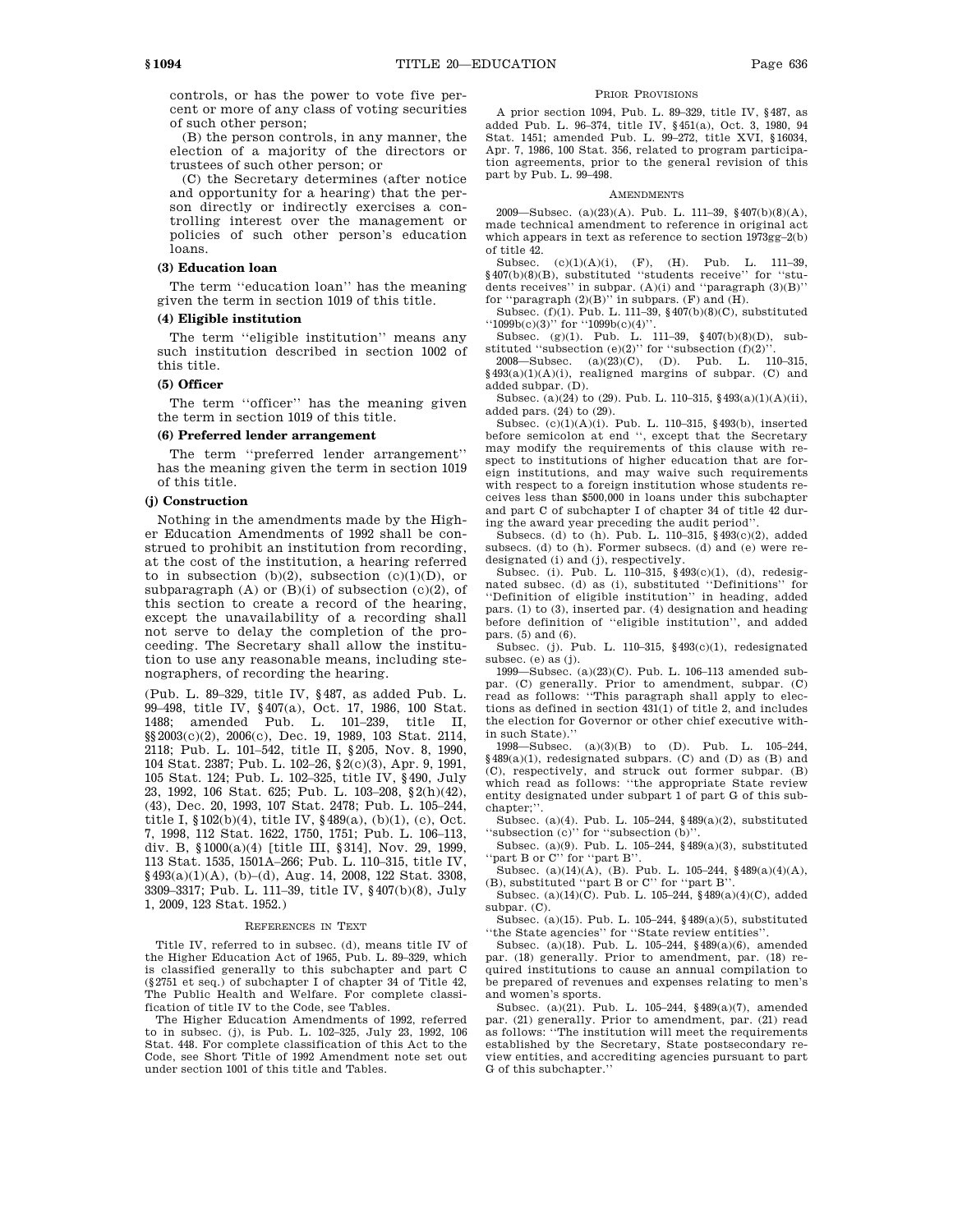controls, or has the power to vote five percent or more of any class of voting securities of such other person;

(B) the person controls, in any manner, the election of a majority of the directors or trustees of such other person; or

(C) the Secretary determines (after notice and opportunity for a hearing) that the person directly or indirectly exercises a controlling interest over the management or policies of such other person's education loans.

# **(3) Education loan**

The term ''education loan'' has the meaning given the term in section 1019 of this title.

#### **(4) Eligible institution**

The term ''eligible institution'' means any such institution described in section 1002 of this title.

## **(5) Officer**

The term ''officer'' has the meaning given the term in section 1019 of this title.

# **(6) Preferred lender arrangement**

The term ''preferred lender arrangement'' has the meaning given the term in section 1019 of this title.

## **(j) Construction**

Nothing in the amendments made by the Higher Education Amendments of 1992 shall be construed to prohibit an institution from recording, at the cost of the institution, a hearing referred to in subsection (b)(2), subsection (c)(1)(D), or subparagraph  $(A)$  or  $(B)(i)$  of subsection  $(c)(2)$ , of this section to create a record of the hearing, except the unavailability of a recording shall not serve to delay the completion of the proceeding. The Secretary shall allow the institution to use any reasonable means, including stenographers, of recording the hearing.

(Pub. L. 89–329, title IV, §487, as added Pub. L. 99–498, title IV, §407(a), Oct. 17, 1986, 100 Stat. 1488; amended Pub. L. 101–239, title II, §§2003(c)(2), 2006(c), Dec. 19, 1989, 103 Stat. 2114, 2118; Pub. L. 101–542, title II, §205, Nov. 8, 1990, 104 Stat. 2387; Pub. L. 102–26, §2(c)(3), Apr. 9, 1991, 105 Stat. 124; Pub. L. 102–325, title IV, §490, July 23, 1992, 106 Stat. 625; Pub. L. 103–208, §2(h)(42), (43), Dec. 20, 1993, 107 Stat. 2478; Pub. L. 105–244, title I, §102(b)(4), title IV, §489(a), (b)(1), (c), Oct. 7, 1998, 112 Stat. 1622, 1750, 1751; Pub. L. 106–113, div. B, §1000(a)(4) [title III, §314], Nov. 29, 1999, 113 Stat. 1535, 1501A–266; Pub. L. 110–315, title IV, §493(a)(1)(A), (b)–(d), Aug. 14, 2008, 122 Stat. 3308, 3309–3317; Pub. L. 111–39, title IV, §407(b)(8), July 1, 2009, 123 Stat. 1952.)

#### REFERENCES IN TEXT

Title IV, referred to in subsec. (d), means title IV of the Higher Education Act of 1965, Pub. L. 89–329, which is classified generally to this subchapter and part C (§2751 et seq.) of subchapter I of chapter 34 of Title 42, The Public Health and Welfare. For complete classification of title IV to the Code, see Tables.

The Higher Education Amendments of 1992, referred to in subsec. (j), is Pub. L. 102–325, July 23, 1992, 106 Stat. 448. For complete classification of this Act to the Code, see Short Title of 1992 Amendment note set out under section 1001 of this title and Tables.

## PRIOR PROVISIONS

A prior section 1094, Pub. L. 89–329, title IV, §487, as added Pub. L. 96–374, title IV, §451(a), Oct. 3, 1980, 94 Stat. 1451; amended Pub. L. 99–272, title XVI, §16034, Apr. 7, 1986, 100 Stat. 356, related to program participation agreements, prior to the general revision of this part by Pub. L. 99–498.

#### **AMENDMENTS**

2009—Subsec. (a)(23)(A). Pub. L. 111–39, §407(b)(8)(A), made technical amendment to reference in original act which appears in text as reference to section 1973gg–2(b) of title 42.

 $(c)(1)(A)(i), (F), (H).$  Pub. L. 111–39, §407(b)(8)(B), substituted ''students receive'' for ''students receives'' in subpar. (A)(i) and ''paragraph (3)(B)'' for "paragraph  $(2)(B)$ " in subpars. (F) and  $(H)$ .

Subsec. (f)(1). Pub. L. 111–39, §407(b)(8)(C), substituted ''1099b(c)(3)'' for ''1099b(c)(4)''.

Subsec. (g)(1). Pub. L. 111–39, §407(b)(8)(D), substituted "subsection  $(e)(2)$ " for "subsection  $(f)(2)$ ".<br>2008—Subsec.  $(a)(23)(C)$ . (D). Pub. L. 110-315.

2008—Subsec.  $(a)(23)(C)$ , (D). Pub. L.  $§493(a)(1)(A)(i)$ , realigned margins of subpar. (C) and added subpar. (D).

Subsec. (a)(24) to (29). Pub. L. 110–315, §493(a)(1)(A)(ii), added pars. (24) to (29).

Subsec. (c)(1)(A)(i). Pub. L. 110–315, §493(b), inserted before semicolon at end '', except that the Secretary may modify the requirements of this clause with respect to institutions of higher education that are foreign institutions, and may waive such requirements with respect to a foreign institution whose students receives less than \$500,000 in loans under this subchapter and part C of subchapter I of chapter 34 of title 42 during the award year preceding the audit period''.

Subsecs. (d) to (h). Pub. L. 110–315, §493(c)(2), added subsecs. (d) to (h). Former subsecs. (d) and (e) were redesignated (i) and (j), respectively.

Subsec. (i). Pub. L. 110–315,  $\frac{9493(c)}{1}$ , (d), redesignated subsec. (d) as (i), substituted ''Definitions'' for ''Definition of eligible institution'' in heading, added pars. (1) to (3), inserted par. (4) designation and heading before definition of ''eligible institution'', and added pars. (5) and (6).

Subsec. (j). Pub. L. 110–315, §493(c)(1), redesignated subsec. (e) as (j).

1999—Subsec. (a)(23)(C). Pub. L. 106–113 amended subpar. (C) generally. Prior to amendment, subpar. (C) read as follows: ''This paragraph shall apply to elections as defined in section 431(1) of title 2, and includes the election for Governor or other chief executive within such State).''

1998—Subsec. (a)(3)(B) to (D). Pub. L. 105–244, §489(a)(1), redesignated subpars. (C) and (D) as (B) and (C), respectively, and struck out former subpar. (B) which read as follows: ''the appropriate State review entity designated under subpart 1 of part G of this subchapter;''.

Subsec. (a)(4). Pub. L. 105–244, §489(a)(2), substituted ''subsection (c)'' for ''subsection (b)''.

Subsec. (a)(9). Pub. L. 105–244, §489(a)(3), substituted 'part B or C'' for "part B".

Subsec. (a)(14)(A), (B). Pub. L. 105–244,  $\frac{1}{9}$ 489(a)(4)(A), (B), substituted ''part B or C'' for ''part B''.

Subsec. (a)(14)(C). Pub. L. 105–244, §489(a)(4)(C), added subpar. (C).

Subsec. (a)(15). Pub. L. 105–244, §489(a)(5), substituted ''the State agencies'' for ''State review entities''.

Subsec. (a)(18). Pub. L. 105–244, §489(a)(6), amended par. (18) generally. Prior to amendment, par. (18) required institutions to cause an annual compilation to be prepared of revenues and expenses relating to men's and women's sports.

Subsec. (a)(21). Pub. L. 105–244, §489(a)(7), amended par. (21) generally. Prior to amendment, par. (21) read as follows: ''The institution will meet the requirements established by the Secretary, State postsecondary review entities, and accrediting agencies pursuant to part G of this subchapter.''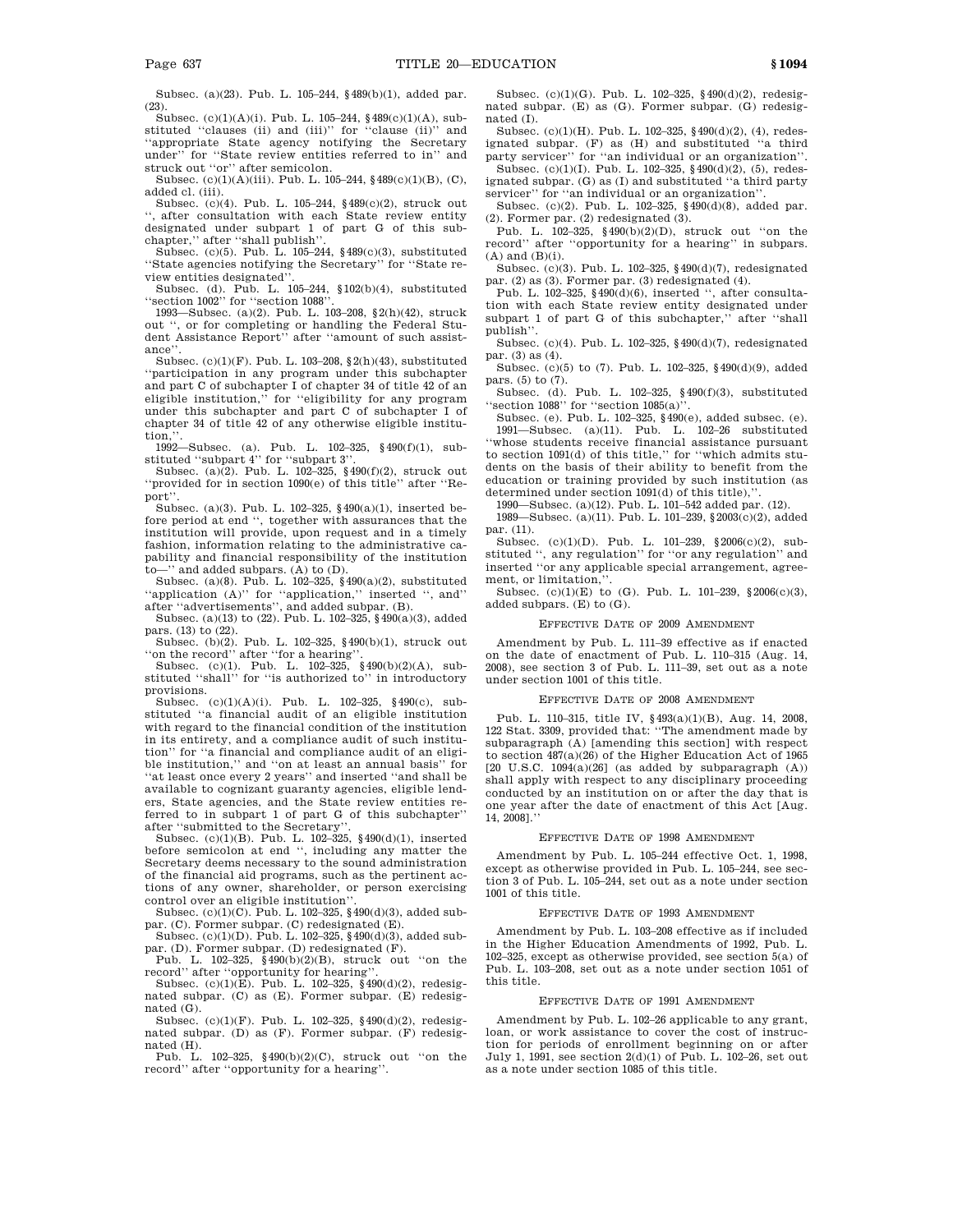Subsec. (a)(23). Pub. L. 105–244, §489(b)(1), added par. (23).

Subsec. (c)(1)(A)(i). Pub. L. 105–244, §489(c)(1)(A), substituted ''clauses (ii) and (iii)'' for ''clause (ii)'' and ''appropriate State agency notifying the Secretary under'' for ''State review entities referred to in'' and struck out "or" after semicolon.

Subsec. (c)(1)(A)(iii). Pub. L. 105–244, §489(c)(1)(B), (C), added cl. (iii).

Subsec. (c)(4). Pub. L. 105–244, §489(c)(2), struck out ", after consultation with each State review entity designated under subpart 1 of part G of this sub-

chapter,'' after ''shall publish''. Subsec. (c)(5). Pub. L. 105–244, §489(c)(3), substituted ''State agencies notifying the Secretary'' for ''State review entities designated''.

Subsec. (d). Pub. L. 105–244, §102(b)(4), substituted ''section 1002'' for ''section 1088''.

1993—Subsec. (a)(2). Pub. L. 103–208, §2(h)(42), struck out '', or for completing or handling the Federal Student Assistance Report'' after ''amount of such assistance''.

Subsec. (c)(1)(F). Pub. L. 103–208, §2(h)(43), substituted ''participation in any program under this subchapter and part C of subchapter I of chapter 34 of title 42 of an eligible institution,'' for ''eligibility for any program under this subchapter and part C of subchapter I of chapter 34 of title 42 of any otherwise eligible institution.

1992—Subsec. (a). Pub. L. 102–325, §490(f)(1), sub-

stituted "subpart 4" for "subpart 3".<br>Subsec. (a)(2). Pub. L. 102–325,  $§$ 490(f)(2), struck out ''provided for in section 1090(e) of this title'' after ''Report''.

Subsec. (a)(3). Pub. L. 102–325, §490(a)(1), inserted before period at end '', together with assurances that the institution will provide, upon request and in a timely fashion, information relating to the administrative capability and financial responsibility of the institution to—'' and added subpars. (A) to (D).

Subsec. (a)(8). Pub. L. 102–325, §490(a)(2), substituted ''application (A)'' for ''application,'' inserted '', and'' after ''advertisements'', and added subpar. (B).

Subsec. (a)(13) to (22). Pub. L. 102–325, §490(a)(3), added pars. (13) to (22).

Subsec. (b)(2). Pub. L. 102–325, §490(b)(1), struck out ''on the record'' after ''for a hearing''. Subsec. (c)(1). Pub. L. 102–325, §490(b)(2)(A), sub-

stituted ''shall'' for ''is authorized to'' in introductory provisions.

Subsec. (c)(1)(A)(i). Pub. L. 102–325, §490(c), substituted ''a financial audit of an eligible institution with regard to the financial condition of the institution in its entirety, and a compliance audit of such institution'' for ''a financial and compliance audit of an eligible institution,'' and ''on at least an annual basis'' for ''at least once every 2 years'' and inserted ''and shall be available to cognizant guaranty agencies, eligible lenders, State agencies, and the State review entities referred to in subpart 1 of part G of this subchapter'' after ''submitted to the Secretary''.

Subsec. (c)(1)(B). Pub. L. 102–325, §490(d)(1), inserted before semicolon at end '', including any matter the Secretary deems necessary to the sound administration of the financial aid programs, such as the pertinent actions of any owner, shareholder, or person exercising control over an eligible institution''.

Subsec. (c)(1)(C). Pub. L. 102–325, §490(d)(3), added subpar. (C). Former subpar. (C) redesignated (E).

Subsec. (c)(1)(D). Pub. L. 102–325, §490(d)(3), added subpar. (D). Former subpar. (D) redesignated (F).

Pub. L. 102–325, §490(b)(2)(B), struck out ''on the record'' after ''opportunity for hearing''.

Subsec. (c)(1)(E). Pub. L. 102-325,  $\S$ 490(d)(2), redesignated subpar. (C) as (E). Former subpar. (E) redesignated (G).

Subsec. (c)(1)(F). Pub. L. 102–325, §490(d)(2), redesignated subpar. (D) as (F). Former subpar. (F) redesignated (H).

Pub. L. 102–325, §490(b)(2)(C), struck out ''on the record'' after ''opportunity for a hearing''.

Subsec. (c)(1)(G). Pub. L. 102–325, §490(d)(2), redesignated subpar. (E) as (G). Former subpar. (G) redesignated (I).

Subsec. (c)(1)(H). Pub. L. 102–325, §490(d)(2), (4), redesignated subpar. (F) as (H) and substituted ''a third party servicer'' for ''an individual or an organization''.

Subsec. (c)(1)(I). Pub. L. 102-325,  $§$ 490(d)(2), (5), redesignated subpar. (G) as (I) and substituted ''a third party servicer'' for ''an individual or an organization''.

Subsec. (c)(2). Pub. L. 102–325, §490(d)(8), added par. (2). Former par. (2) redesignated (3).

Pub. L. 102–325, §490(b)(2)(D), struck out ''on the record'' after ''opportunity for a hearing'' in subpars.  $(A)$  and  $(B)(i)$ .

Subsec. (c)(3). Pub. L. 102–325, §490(d)(7), redesignated par. (2) as (3). Former par. (3) redesignated (4).

Pub. L. 102–325,  $\S\,490(\mathrm{d})(6),$  inserted '', after consultation with each State review entity designated under subpart 1 of part G of this subchapter,'' after ''shall publish''.

Subsec. (c)(4). Pub. L. 102–325, §490(d)(7), redesignated par. (3) as (4).

Subsec. (c)(5) to (7). Pub. L. 102–325, §490(d)(9), added pars. (5) to (7).

Subsec. (d). Pub. L. 102–325, §490(f)(3), substituted ''section 1088'' for ''section 1085(a)''.

Subsec. (e). Pub. L. 102–325, §490(e), added subsec. (e). 1991—Subsec. (a)(11). Pub. L. 102–26 substituted ''whose students receive financial assistance pursuant to section 1091(d) of this title,'' for ''which admits students on the basis of their ability to benefit from the education or training provided by such institution (as determined under section 1091(d) of this title),''.

1990—Subsec. (a)(12). Pub. L. 101–542 added par. (12).

1989—Subsec. (a)(11). Pub. L. 101–239, §2003(c)(2), added par. (11).

Subsec. (c)(1)(D). Pub. L. 101–239, §2006(c)(2), substituted '', any regulation'' for ''or any regulation'' and inserted ''or any applicable special arrangement, agreement, or limitation,''.

Subsec. (c)(1)(E) to (G). Pub. L. 101-239,  $\$2006(c)(3)$ , added subpars. (E) to (G).

#### EFFECTIVE DATE OF 2009 AMENDMENT

Amendment by Pub. L. 111–39 effective as if enacted on the date of enactment of Pub. L. 110–315 (Aug. 14, 2008), see section 3 of Pub. L. 111–39, set out as a note under section 1001 of this title.

#### EFFECTIVE DATE OF 2008 AMENDMENT

Pub. L. 110–315, title IV, §493(a)(1)(B), Aug. 14, 2008, 122 Stat. 3309, provided that: ''The amendment made by subparagraph (A) [amending this section] with respect to section 487(a)(26) of the Higher Education Act of 1965  $[20 \text{ U.S.C. } 1094(a)(26)$  (as added by subparagraph  $(A)$ ) shall apply with respect to any disciplinary proceeding conducted by an institution on or after the day that is one year after the date of enactment of this Act [Aug. 14, 2008].''

# EFFECTIVE DATE OF 1998 AMENDMENT

Amendment by Pub. L. 105–244 effective Oct. 1, 1998, except as otherwise provided in Pub. L. 105–244, see section 3 of Pub. L. 105–244, set out as a note under section 1001 of this title.

# EFFECTIVE DATE OF 1993 AMENDMENT

Amendment by Pub. L. 103–208 effective as if included in the Higher Education Amendments of 1992, Pub. L. 102–325, except as otherwise provided, see section 5(a) of Pub. L. 103–208, set out as a note under section 1051 of this title.

#### EFFECTIVE DATE OF 1991 AMENDMENT

Amendment by Pub. L. 102–26 applicable to any grant, loan, or work assistance to cover the cost of instruction for periods of enrollment beginning on or after July 1, 1991, see section 2(d)(1) of Pub. L. 102–26, set out as a note under section 1085 of this title.